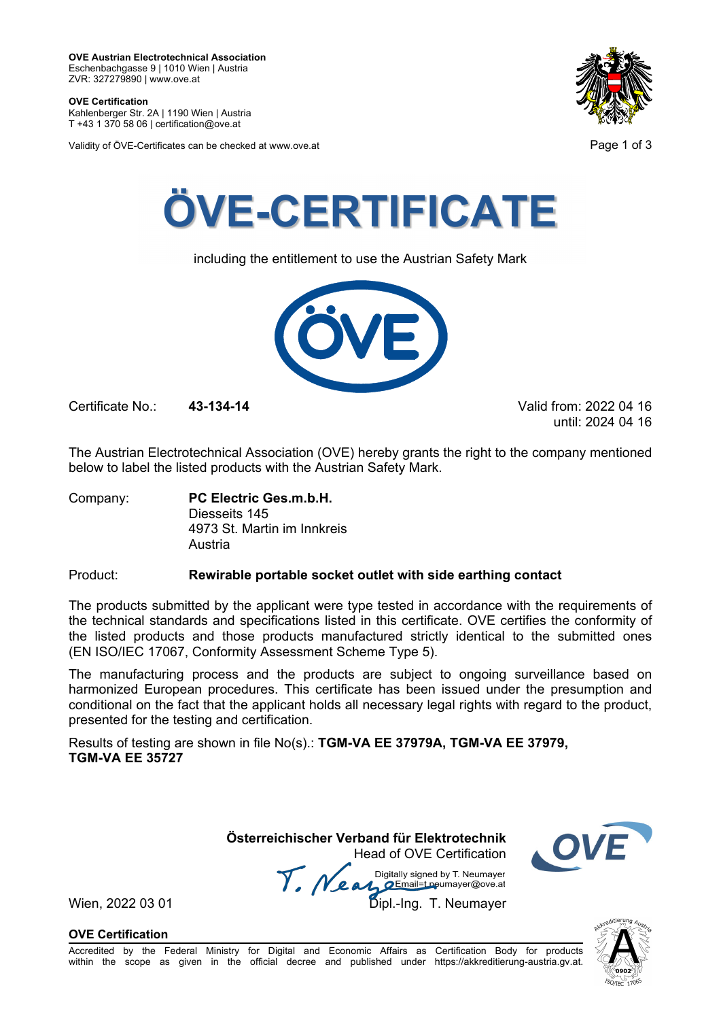**OVE Certification**  Kahlenberger Str. 2A | 1190 Wien | Austria

T +43 1 370 58 06 | certification@ove.at

Validity of ÖVE-Certificates can be checked at www.ove.at **Page 1 of 3** Page 1 of 3





including the entitlement to use the Austrian Safety Mark



Certificate No.: **43-134-14** Valid from: 2022 04 16

until: 2024 04 16

The Austrian Electrotechnical Association (OVE) hereby grants the right to the company mentioned below to label the listed products with the Austrian Safety Mark.

Company: **PC Electric Ges.m.b.H.**  Diesseits 145 4973 St. Martin im Innkreis Austria

## Product: **Rewirable portable socket outlet with side earthing contact**

The products submitted by the applicant were type tested in accordance with the requirements of the technical standards and specifications listed in this certificate. OVE certifies the conformity of the listed products and those products manufactured strictly identical to the submitted ones (EN ISO/IEC 17067, Conformity Assessment Scheme Type 5).

The manufacturing process and the products are subject to ongoing surveillance based on harmonized European procedures. This certificate has been issued under the presumption and conditional on the fact that the applicant holds all necessary legal rights with regard to the product, presented for the testing and certification.

Results of testing are shown in file No(s).: **TGM-VA EE 37979A, TGM-VA EE 37979, TGM-VA EE 35727**

> **Österreichischer Verband für Elektrotechnik**  Head of OVE Certification



Wien, 2022 03 01 March 2022 03 01 Dipl.-Ing. T. Neumayer<br>Dipl.-Ing. T. Neumayer

**OVE Certification**



്ററോ

Accredited by the Federal Ministry for Digital and Economic Affairs as Certification Body for products within the scope as given in the official decree and published under https://akkreditierung-austria.gv.at.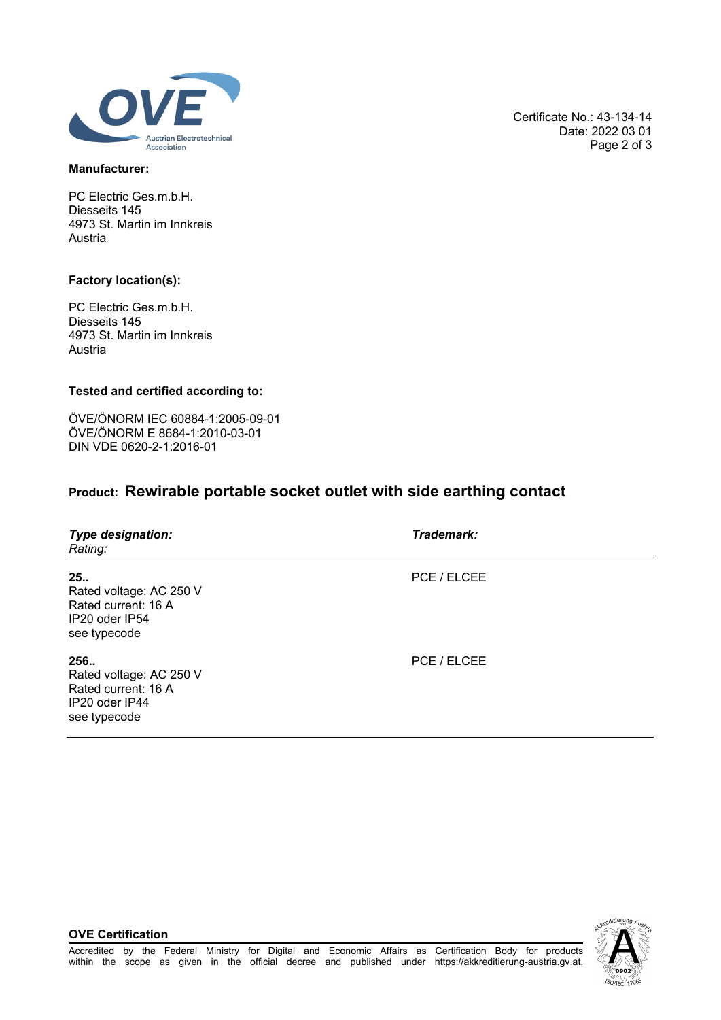

#### **Manufacturer:**

PC Electric Ges.m.b.H. Diesseits 145 4973 St. Martin im Innkreis Austria

#### **Factory location(s):**

PC Electric Ges.m.b.H. Diesseits 145 4973 St. Martin im Innkreis Austria

### **Tested and certified according to:**

ÖVE/ÖNORM IEC 60884-1:2005-09-01 ÖVE/ÖNORM E 8684-1:2010-03-01 DIN VDE 0620-2-1:2016-01

# **Product: Rewirable portable socket outlet with side earthing contact**

| <b>Type designation:</b><br>Rating:                                                      | Trademark:  |
|------------------------------------------------------------------------------------------|-------------|
| 25.<br>Rated voltage: AC 250 V<br>Rated current: 16 A<br>IP20 oder IP54<br>see typecode  | PCE / ELCEE |
| 256.<br>Rated voltage: AC 250 V<br>Rated current: 16 A<br>IP20 oder IP44<br>see typecode | PCE / ELCEE |

**OVE Certification**



Certificate No.: 43-134-14 Date: 2022 03 01 Page 2 of 3